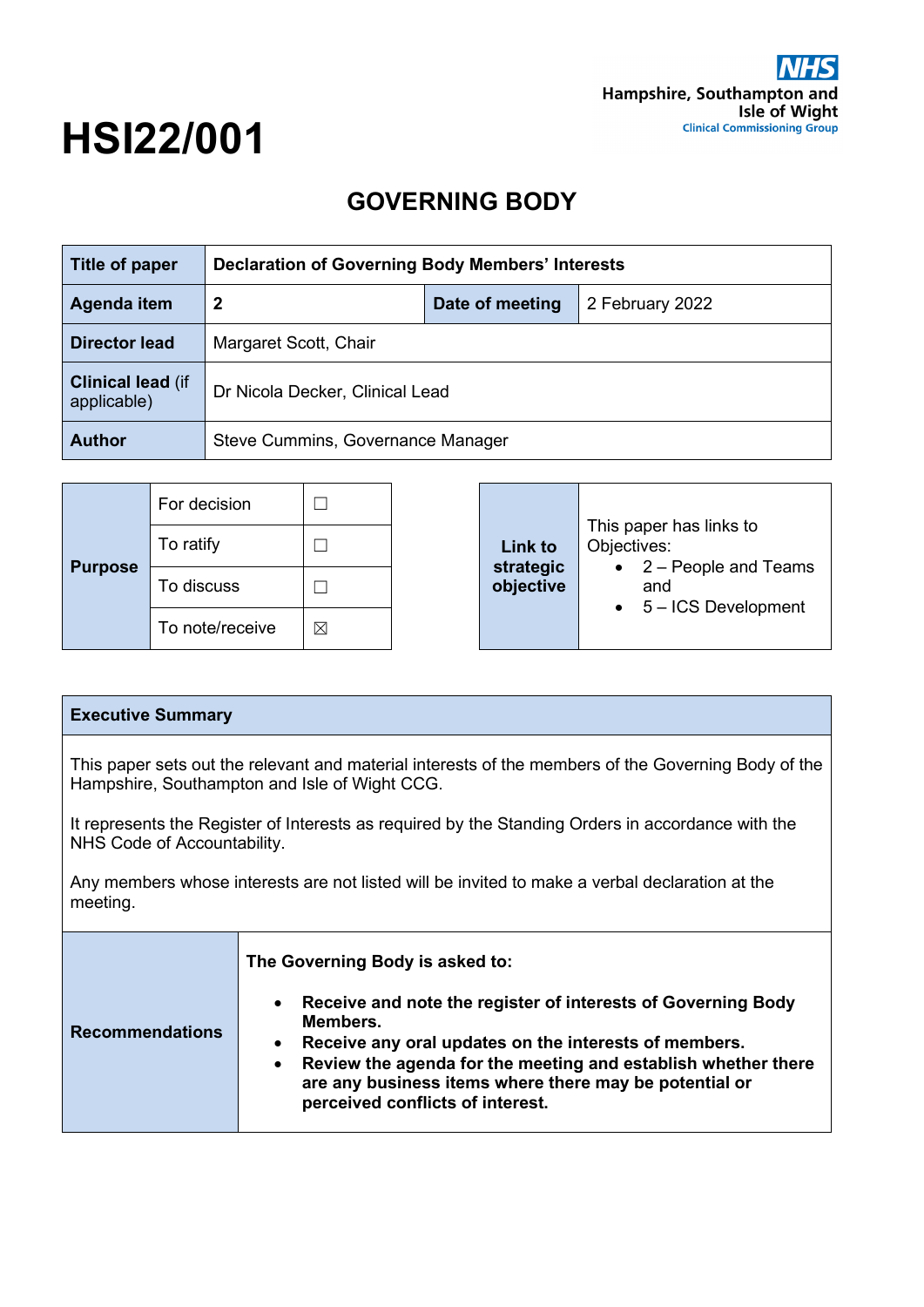## **HSI22/001**

## **GOVERNING BODY**

| Title of paper                          | <b>Declaration of Governing Body Members' Interests</b> |                 |                 |
|-----------------------------------------|---------------------------------------------------------|-----------------|-----------------|
| <b>Agenda item</b>                      | 2                                                       | Date of meeting | 2 February 2022 |
| Director lead                           | Margaret Scott, Chair                                   |                 |                 |
| <b>Clinical lead (if</b><br>applicable) | Dr Nicola Decker, Clinical Lead                         |                 |                 |
| <b>Author</b>                           | Steve Cummins, Governance Manager                       |                 |                 |

| <b>Purpose</b> | For decision    |             |  | Link to<br>strategic<br>objective | This paper has links to<br>Objectives:<br>2 – People and Teams<br>$\bullet$<br>and<br>5-ICS Development |
|----------------|-----------------|-------------|--|-----------------------------------|---------------------------------------------------------------------------------------------------------|
|                | To ratify       |             |  |                                   |                                                                                                         |
|                | To discuss      |             |  |                                   |                                                                                                         |
|                | To note/receive | $\boxtimes$ |  |                                   |                                                                                                         |

## **Executive Summary**

This paper sets out the relevant and material interests of the members of the Governing Body of the Hampshire, Southampton and Isle of Wight CCG.

It represents the Register of Interests as required by the Standing Orders in accordance with the NHS Code of Accountability.

Any members whose interests are not listed will be invited to make a verbal declaration at the meeting.

|                        | The Governing Body is asked to:<br>Receive and note the register of interests of Governing Body                                                                                                                                  |
|------------------------|----------------------------------------------------------------------------------------------------------------------------------------------------------------------------------------------------------------------------------|
| <b>Recommendations</b> | Members.<br>Receive any oral updates on the interests of members.<br>Review the agenda for the meeting and establish whether there<br>are any business items where there may be potential or<br>perceived conflicts of interest. |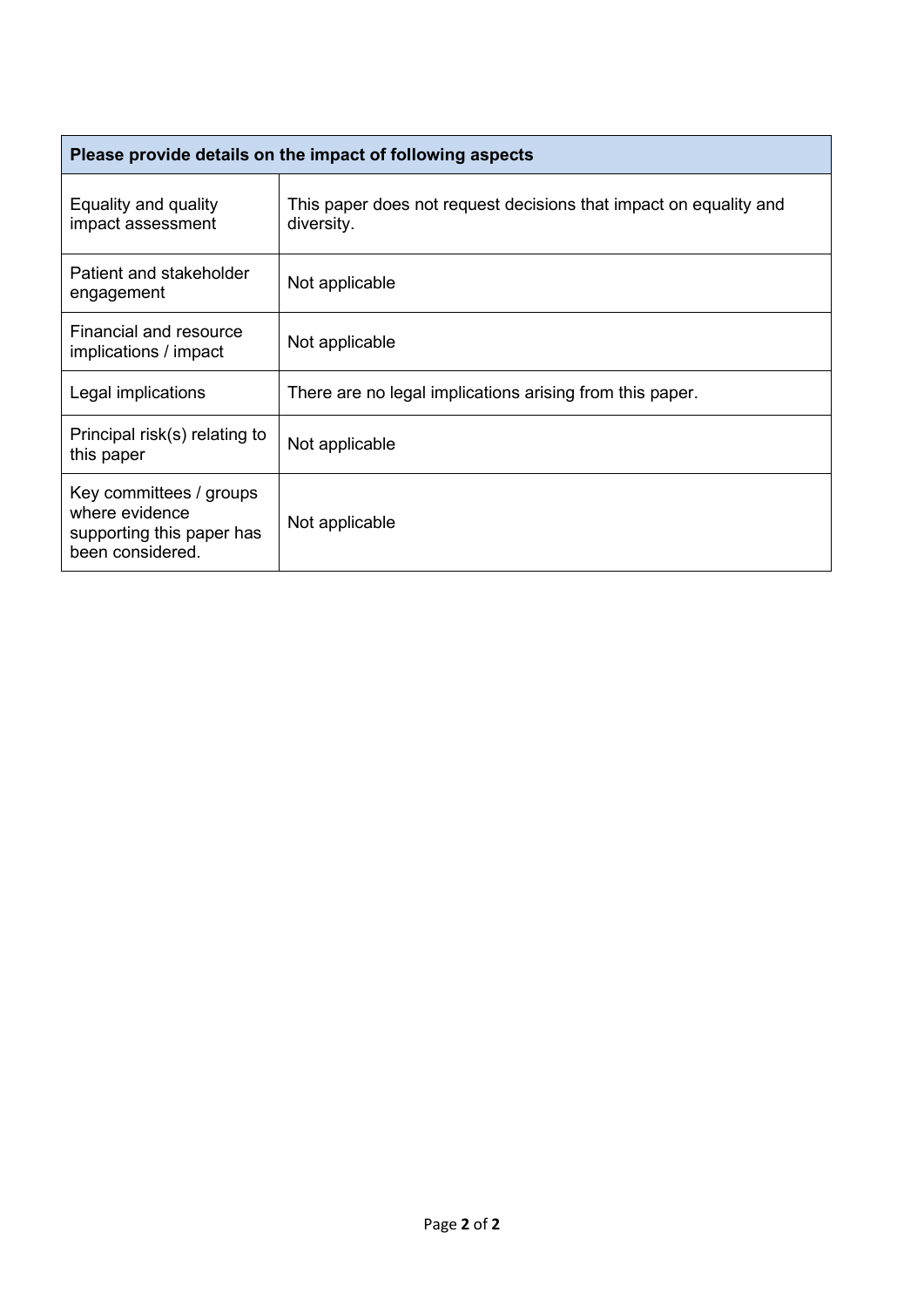| Please provide details on the impact of following aspects                                  |                                                                                 |  |
|--------------------------------------------------------------------------------------------|---------------------------------------------------------------------------------|--|
| Equality and quality<br>impact assessment                                                  | This paper does not request decisions that impact on equality and<br>diversity. |  |
| Patient and stakeholder<br>engagement                                                      | Not applicable                                                                  |  |
| Financial and resource<br>implications / impact                                            | Not applicable                                                                  |  |
| Legal implications                                                                         | There are no legal implications arising from this paper.                        |  |
| Principal risk(s) relating to<br>this paper                                                | Not applicable                                                                  |  |
| Key committees / groups<br>where evidence<br>supporting this paper has<br>been considered. | Not applicable                                                                  |  |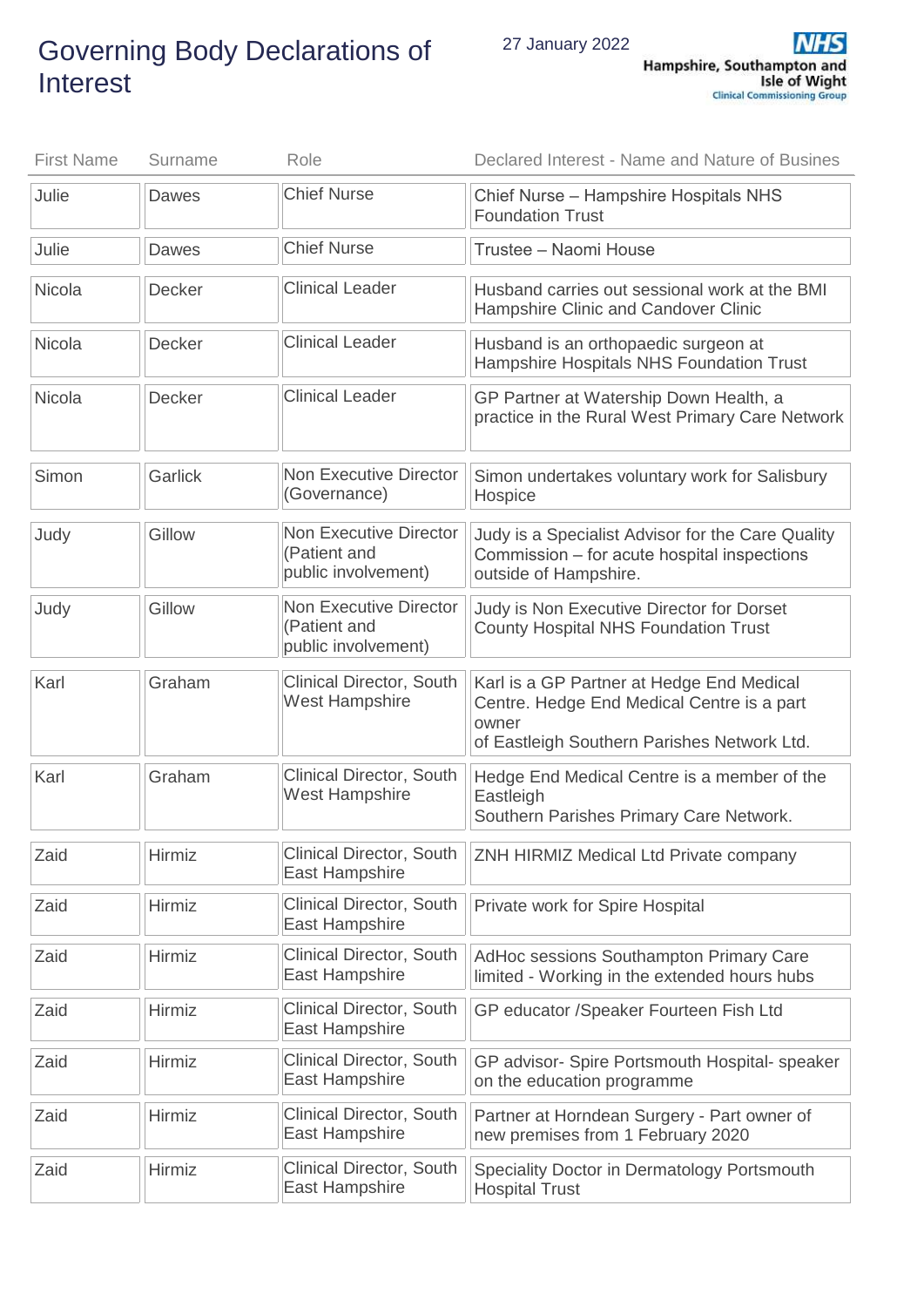Governing Body Declarations of Interest

| <b>First Name</b> | Surname       | Role                                                                 | Declared Interest - Name and Nature of Busines                                                                                                  |
|-------------------|---------------|----------------------------------------------------------------------|-------------------------------------------------------------------------------------------------------------------------------------------------|
| Julie             | Dawes         | <b>Chief Nurse</b>                                                   | Chief Nurse - Hampshire Hospitals NHS<br><b>Foundation Trust</b>                                                                                |
| Julie             | Dawes         | <b>Chief Nurse</b>                                                   | Trustee - Naomi House                                                                                                                           |
| Nicola            | Decker        | <b>Clinical Leader</b>                                               | Husband carries out sessional work at the BMI<br>Hampshire Clinic and Candover Clinic                                                           |
| Nicola            | Decker        | <b>Clinical Leader</b>                                               | Husband is an orthopaedic surgeon at<br>Hampshire Hospitals NHS Foundation Trust                                                                |
| Nicola            | <b>Decker</b> | <b>Clinical Leader</b>                                               | GP Partner at Watership Down Health, a<br>practice in the Rural West Primary Care Network                                                       |
| Simon             | Garlick       | <b>Non Executive Director</b><br>(Governance)                        | Simon undertakes voluntary work for Salisbury<br>Hospice                                                                                        |
| Judy              | Gillow        | <b>Non Executive Director</b><br>(Patient and<br>public involvement) | Judy is a Specialist Advisor for the Care Quality<br>Commission - for acute hospital inspections<br>outside of Hampshire.                       |
| Judy              | Gillow        | <b>Non Executive Director</b><br>(Patient and<br>public involvement) | Judy is Non Executive Director for Dorset<br><b>County Hospital NHS Foundation Trust</b>                                                        |
| Karl              | Graham        | <b>Clinical Director, South</b><br><b>West Hampshire</b>             | Karl is a GP Partner at Hedge End Medical<br>Centre. Hedge End Medical Centre is a part<br>owner<br>of Eastleigh Southern Parishes Network Ltd. |
| Karl              | Graham        | <b>Clinical Director, South</b><br><b>West Hampshire</b>             | Hedge End Medical Centre is a member of the<br>Eastleigh<br>Southern Parishes Primary Care Network.                                             |
| Zaid              | Hirmiz        | <b>East Hampshire</b>                                                | Clinical Director, South   ZNH HIRMIZ Medical Ltd Private company                                                                               |
| Zaid              | <b>Hirmiz</b> | <b>Clinical Director, South</b><br><b>East Hampshire</b>             | Private work for Spire Hospital                                                                                                                 |
| Zaid              | <b>Hirmiz</b> | <b>Clinical Director, South</b><br><b>East Hampshire</b>             | AdHoc sessions Southampton Primary Care<br>limited - Working in the extended hours hubs                                                         |
| Zaid              | Hirmiz        | <b>Clinical Director, South</b><br><b>East Hampshire</b>             | GP educator /Speaker Fourteen Fish Ltd                                                                                                          |
| Zaid              | Hirmiz        | <b>Clinical Director, South</b><br><b>East Hampshire</b>             | GP advisor- Spire Portsmouth Hospital- speaker<br>on the education programme                                                                    |
| Zaid              | <b>Hirmiz</b> | <b>Clinical Director, South</b><br><b>East Hampshire</b>             | Partner at Horndean Surgery - Part owner of<br>new premises from 1 February 2020                                                                |
| Zaid              | <b>Hirmiz</b> | <b>Clinical Director, South</b><br><b>East Hampshire</b>             | Speciality Doctor in Dermatology Portsmouth<br><b>Hospital Trust</b>                                                                            |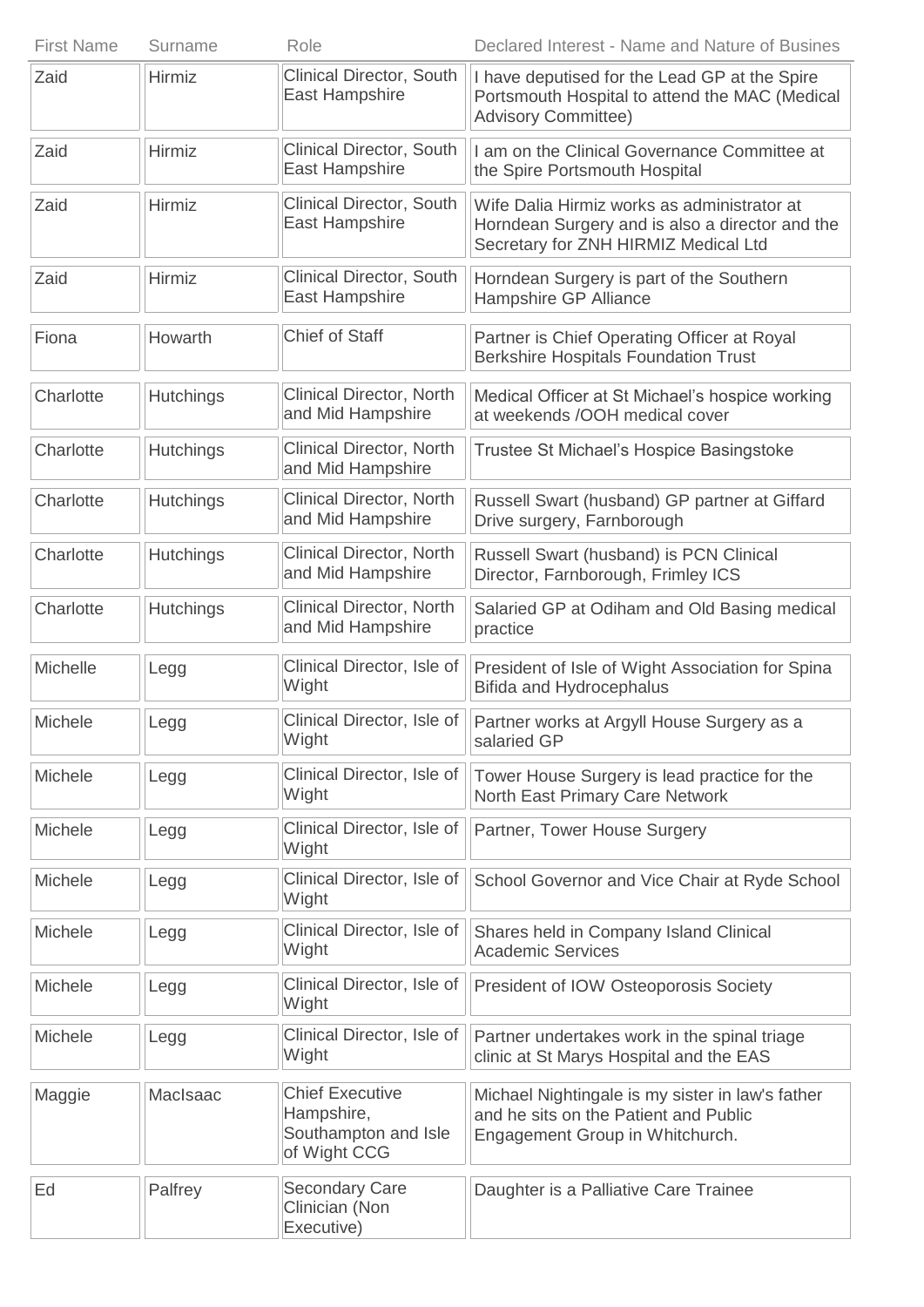| <b>First Name</b> | Surname          | Role                                                                         | Declared Interest - Name and Nature of Busines                                                                                         |
|-------------------|------------------|------------------------------------------------------------------------------|----------------------------------------------------------------------------------------------------------------------------------------|
| Zaid              | Hirmiz           | <b>Clinical Director, South</b><br><b>East Hampshire</b>                     | I have deputised for the Lead GP at the Spire<br>Portsmouth Hospital to attend the MAC (Medical<br><b>Advisory Committee)</b>          |
| Zaid              | Hirmiz           | <b>Clinical Director, South</b><br><b>East Hampshire</b>                     | I am on the Clinical Governance Committee at<br>the Spire Portsmouth Hospital                                                          |
| Zaid              | Hirmiz           | <b>Clinical Director, South</b><br><b>East Hampshire</b>                     | Wife Dalia Hirmiz works as administrator at<br>Horndean Surgery and is also a director and the<br>Secretary for ZNH HIRMIZ Medical Ltd |
| Zaid              | Hirmiz           | <b>Clinical Director, South</b><br><b>East Hampshire</b>                     | Horndean Surgery is part of the Southern<br>Hampshire GP Alliance                                                                      |
| Fiona             | Howarth          | Chief of Staff                                                               | Partner is Chief Operating Officer at Royal<br><b>Berkshire Hospitals Foundation Trust</b>                                             |
| Charlotte         | <b>Hutchings</b> | <b>Clinical Director, North</b><br>and Mid Hampshire                         | Medical Officer at St Michael's hospice working<br>at weekends /OOH medical cover                                                      |
| Charlotte         | <b>Hutchings</b> | <b>Clinical Director, North</b><br>and Mid Hampshire                         | Trustee St Michael's Hospice Basingstoke                                                                                               |
| Charlotte         | <b>Hutchings</b> | <b>Clinical Director, North</b><br>and Mid Hampshire                         | Russell Swart (husband) GP partner at Giffard<br>Drive surgery, Farnborough                                                            |
| Charlotte         | <b>Hutchings</b> | Clinical Director, North<br>and Mid Hampshire                                | Russell Swart (husband) is PCN Clinical<br>Director, Farnborough, Frimley ICS                                                          |
| Charlotte         | <b>Hutchings</b> | <b>Clinical Director, North</b><br>and Mid Hampshire                         | Salaried GP at Odiham and Old Basing medical<br>practice                                                                               |
| Michelle          | Legg             | Clinical Director, Isle of<br>Wight                                          | President of Isle of Wight Association for Spina<br><b>Bifida and Hydrocephalus</b>                                                    |
| Michele           | Legg             | Clinical Director, Isle of<br>Wight                                          | Partner works at Argyll House Surgery as a<br>salaried GP                                                                              |
| Michele           | Legg             | Clinical Director, Isle of<br>Wight                                          | Tower House Surgery is lead practice for the<br>North East Primary Care Network                                                        |
| Michele           | Legg             | Clinical Director, Isle of<br>Wight                                          | Partner, Tower House Surgery                                                                                                           |
| Michele           | Legg             | Clinical Director, Isle of<br>Wight                                          | School Governor and Vice Chair at Ryde School                                                                                          |
| Michele           | Legg             | Clinical Director, Isle of<br>Wight                                          | Shares held in Company Island Clinical<br><b>Academic Services</b>                                                                     |
| Michele           | Legg             | Clinical Director, Isle of<br>Wight                                          | President of IOW Osteoporosis Society                                                                                                  |
| Michele           | Legg             | Clinical Director, Isle of<br>Wight                                          | Partner undertakes work in the spinal triage<br>clinic at St Marys Hospital and the EAS                                                |
| Maggie            | MacIsaac         | <b>Chief Executive</b><br>Hampshire,<br>Southampton and Isle<br>of Wight CCG | Michael Nightingale is my sister in law's father<br>and he sits on the Patient and Public<br>Engagement Group in Whitchurch.           |
| Ed                | Palfrey          | <b>Secondary Care</b><br>Clinician (Non<br>Executive)                        | Daughter is a Palliative Care Trainee                                                                                                  |